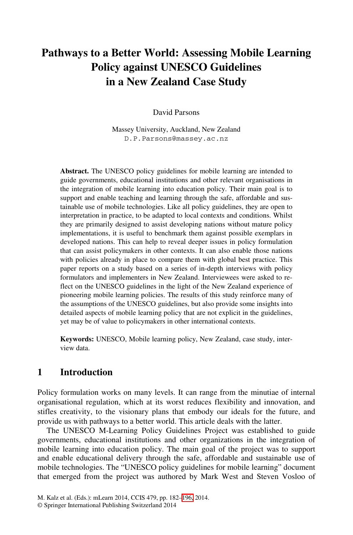# **Pathways to a Better World: Assessing Mobile Learning Policy against UNESCO Guidelines in a New Zealand Case Study**

#### David Parsons

Massey University, Auckland, New Zealand D.P.Parsons@massey.ac.nz

**Abstract.** The UNESCO policy guidelines for mobile learning are intended to guide governments, educational institutions and other relevant organisations in the integration of mobile learning into education policy. Their main goal is to support and enable teaching and learning through the safe, affordable and sustainable use of mobile technologies. Like all policy guidelines, they are open to interpretation in practice, to be adapted to local contexts and conditions. Whilst they are primarily designed to assist developing nations without mature policy implementations, it is useful to benchmark them against possible exemplars in developed nations. This can help to reveal deeper issues in policy formulation that can assist policymakers in other contexts. It can also enable those nations with policies already in place to compare them with global best practice. This paper reports on a study based on a series of in-depth interviews with policy formulators and implementers in New Zealand. Interviewees were asked to reflect on the UNESCO guidelines in the light of the New Zealand experience of pioneering mobile learning policies. The results of this study reinforce many of the assumptions of the UNESCO guidelines, but also provide some insights into detailed aspects of mobile learning policy that are not explicit in the guidelines, yet may be of value to policymakers in other international contexts.

**Keywords:** UNESCO, Mobile learning policy, New Zealand, case study, interview data.

#### **1 Introduction**

Policy formulation works on many levels. It can range from the minutiae of internal organisational regulation, which at its worst reduces flexibility and innovation, and stifles creativity, to the visionary plans that embody our ideals for the future, and provide us with pathway[s to a](#page-14-0) better world. This article deals with the latter.

The UNESCO M-Learning Policy Guidelines Project was established to guide governments, educational institutions and other organizations in the integration of mobile learning into education policy. The main goal of the project was to support and enable educational delivery through the safe, affordable and sustainable use of mobile technologies. The "UNESCO policy guidelines for mobile learning" document that emerged from the project was authored by Mark West and Steven Vosloo of

M. Kalz et al. (Eds.): mLearn 2014, CCIS 479, pp. 182–196, 2014.

<sup>©</sup> Springer International Publishing Switzerland 2014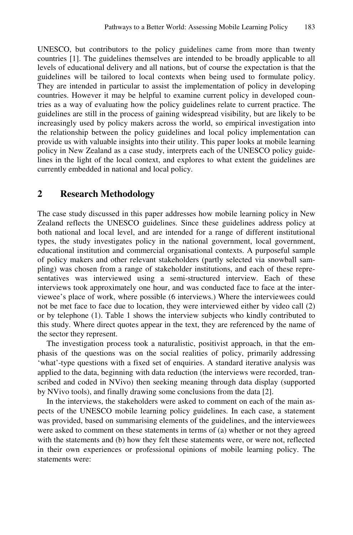UNESCO, but contributors to the policy guidelines came from more than twenty countries [1]. The guidelines themselves are intended to be broadly applicable to all levels of educational delivery and all nations, but of course the expectation is that the guidelines will be tailored to local contexts when being used to formulate policy. They are intended in particular to assist the implementation of policy in developing countries. However it may be helpful to examine current policy in developed countries as a way of evaluating how the policy guidelines relate to current practice. The guidelines are still in the process of gaining widespread visibility, but are likely to be increasingly used by policy makers across the world, so empirical investigation into the relationship between the policy guidelines and local policy implementation can provide us with valuable insights into their utility. This paper looks at mobile learning policy in New Zealand as a case study, interprets each of the UNESCO policy guidelines in the light of the local context, and explores to what extent the guidelines are currently embedded in national and local policy.

#### **2 Research Methodology**

The case study discussed in this paper addresses how mobile learning policy in New Zealand reflects the UNESCO guidelines. Since these guidelines address policy at both national and local level, and are intended for a range of different institutional types, the study investigates policy in the national government, local government, educational institution and commercial organisational contexts. A purposeful sample of policy makers and other relevant stakeholders (partly selected via snowball sampling) was chosen from a range of stakeholder institutions, and each of these representatives was interviewed using a semi-structured interview. Each of these interviews took approximately one hour, and was conducted face to face at the interviewee's place of work, where possible (6 interviews.) Where the interviewees could not be met face to face due to location, they were interviewed either by video call (2) or by telephone (1). Table 1 shows the interview subjects who kindly contributed to this study. Where direct quotes appear in the text, they are referenced by the name of the sector they represent.

The investigation process took a naturalistic, positivist approach, in that the emphasis of the questions was on the social realities of policy, primarily addressing 'what'-type questions with a fixed set of enquiries. A standard iterative analysis was applied to the data, beginning with data reduction (the interviews were recorded, transcribed and coded in NVivo) then seeking meaning through data display (supported by NVivo tools), and finally drawing some conclusions from the data [2].

In the interviews, the stakeholders were asked to comment on each of the main aspects of the UNESCO mobile learning policy guidelines. In each case, a statement was provided, based on summarising elements of the guidelines, and the interviewees were asked to comment on these statements in terms of (a) whether or not they agreed with the statements and (b) how they felt these statements were, or were not, reflected in their own experiences or professional opinions of mobile learning policy. The statements were: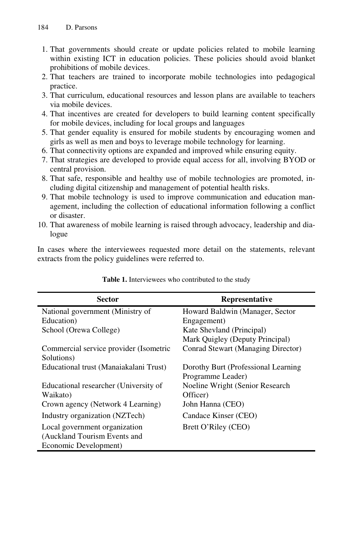- 1. That governments should create or update policies related to mobile learning within existing ICT in education policies. These policies should avoid blanket prohibitions of mobile devices.
- 2. That teachers are trained to incorporate mobile technologies into pedagogical practice.
- 3. That curriculum, educational resources and lesson plans are available to teachers via mobile devices.
- 4. That incentives are created for developers to build learning content specifically for mobile devices, including for local groups and languages
- 5. That gender equality is ensured for mobile students by encouraging women and girls as well as men and boys to leverage mobile technology for learning.
- 6. That connectivity options are expanded and improved while ensuring equity.
- 7. That strategies are developed to provide equal access for all, involving BYOD or central provision.
- 8. That safe, responsible and healthy use of mobile technologies are promoted, including digital citizenship and management of potential health risks.
- 9. That mobile technology is used to improve communication and education management, including the collection of educational information following a conflict or disaster.
- 10. That awareness of mobile learning is raised through advocacy, leadership and dialogue

In cases where the interviewees requested more detail on the statements, relevant extracts from the policy guidelines were referred to.

| <b>Sector</b>                          | Representative                      |
|----------------------------------------|-------------------------------------|
| National government (Ministry of       | Howard Baldwin (Manager, Sector     |
| Education)                             | Engagement)                         |
| School (Orewa College)                 | Kate Shevland (Principal)           |
|                                        | Mark Quigley (Deputy Principal)     |
| Commercial service provider (Isometric | Conrad Stewart (Managing Director)  |
| Solutions)                             |                                     |
| Educational trust (Manaiakalani Trust) | Dorothy Burt (Professional Learning |
|                                        | Programme Leader)                   |
| Educational researcher (University of  | Noeline Wright (Senior Research     |
| Waikato)                               | Officer)                            |
| Crown agency (Network 4 Learning)      | John Hanna (CEO)                    |
| Industry organization (NZTech)         | Candace Kinser (CEO)                |
| Local government organization          | Brett O'Riley (CEO)                 |
| (Auckland Tourism Events and           |                                     |
| Economic Development)                  |                                     |

**Table 1.** Interviewees who contributed to the study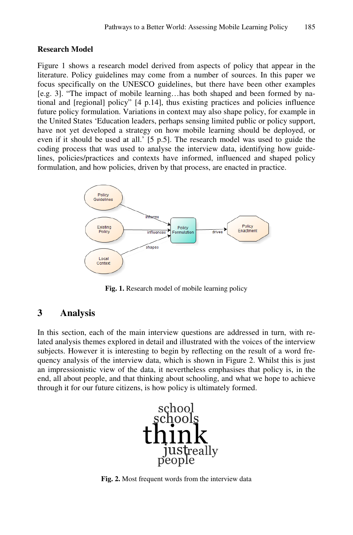#### **Research Model**

Figure 1 shows a research model derived from aspects of policy that appear in the literature. Policy guideline s may come from a number of sources. In this paper we focus specifically on the UNESCO guidelines, but there have been other examples [e.g. 3]. "The impact of mobile learning...has both shaped and been formed by national and [regional] policy" [4 p.14], thus existing practices and policies influence future policy formulation. Variations in context may also shape policy, for example in the United States 'Education leaders, perhaps sensing limited public or policy support, have not yet developed a strategy on how mobile learning should be deployed , or even if it should be used at all.' [5 p.5]. The research model was used to guide the coding process that was used to analyse the interview data, identifying how guidelines, policies/practices and contexts have informed, influenced and shaped policy formulation, and how policies, driven by that process, are enacted in practice.



**Fig. 1.** Research model of mobile learning policy

### **3 Analysis**

In this section, each of the main interview questions are addressed in turn, with related analysis themes explored in detail and illustrated with the voices of the interview subjects. However it is interesting to begin by reflecting on the result of a word frequency analysis of the interview data, which is shown in Figure 2. Whilst this is just an impressionistic view of the data, it nevertheless emphasises that policy is, in the end, all about people, and that thinking about schooling, and what we hope to achieve through it for our future citizens, is how policy is ultimately formed.



Fig. 2. Most frequent words from the interview data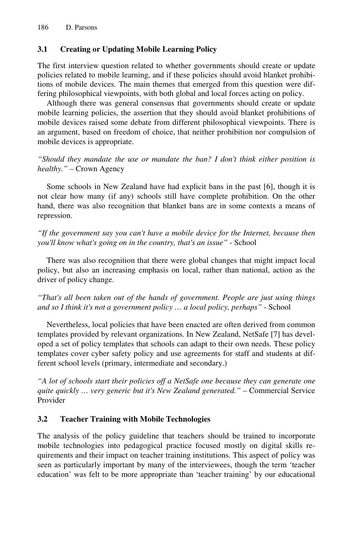#### **3.1 Creating or Updating Mobile Learning Policy**

The first interview question related to whether governments should create or update policies related to mobile learning, and if these policies should avoid blanket prohibitions of mobile devices. The main themes that emerged from this question were differing philosophical viewpoints, with both global and local forces acting on policy.

Although there was general consensus that governments should create or update mobile learning policies, the assertion that they should avoid blanket prohibitions of mobile devices raised some debate from different philosophical viewpoints. There is an argument, based on freedom of choice, that neither prohibition nor compulsion of mobile devices is appropriate.

*"Should they mandate the use or mandate the ban? I don't think either position is healthy."* – Crown Agency

Some schools in New Zealand have had explicit bans in the past [6], though it is not clear how many (if any) schools still have complete prohibition. On the other hand, there was also recognition that blanket bans are in some contexts a means of repression.

*"If the government say you can't have a mobile device for the Internet, because then you'll know what's going on in the country, that's an issue"* - School

There was also recognition that there were global changes that might impact local policy, but also an increasing emphasis on local, rather than national, action as the driver of policy change.

*"That's all been taken out of the hands of government. People are just using things and so I think it's not a government policy … a local policy, perhaps"* - School

Nevertheless, local policies that have been enacted are often derived from common templates provided by relevant organizations. In New Zealand, NetSafe [7] has developed a set of policy templates that schools can adapt to their own needs. These policy templates cover cyber safety policy and use agreements for staff and students at different school levels (primary, intermediate and secondary.)

*"A lot of schools start their policies off a NetSafe one because they can generate one quite quickly … very generic but it's New Zealand generated."* – Commercial Service Provider

#### **3.2 Teacher Training with Mobile Technologies**

The analysis of the policy guideline that teachers should be trained to incorporate mobile technologies into pedagogical practice focused mostly on digital skills requirements and their impact on teacher training institutions. This aspect of policy was seen as particularly important by many of the interviewees, though the term 'teacher education' was felt to be more appropriate than 'teacher training' by our educational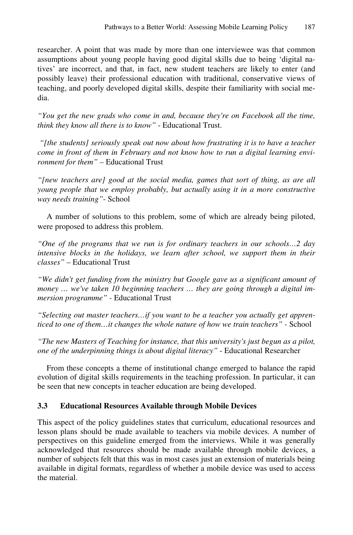researcher. A point that was made by more than one interviewee was that common assumptions about young people having good digital skills due to being 'digital natives' are incorrect, and that, in fact, new student teachers are likely to enter (and possibly leave) their professional education with traditional, conservative views of teaching, and poorly developed digital skills, despite their familiarity with social media.

*"You get the new grads who come in and, because they're on Facebook all the time, think they know all there is to know"* - Educational Trust.

 *"[the students] seriously speak out now about how frustrating it is to have a teacher come in front of them in February and not know how to run a digital learning environment for them" –* Educational Trust

*"[new teachers are] good at the social media, games that sort of thing, as are all young people that we employ probably, but actually using it in a more constructive way needs training"*- School

A number of solutions to this problem, some of which are already being piloted, were proposed to address this problem.

*"One of the programs that we run is for ordinary teachers in our schools…2 day intensive blocks in the holidays, we learn after school, we support them in their classes"* – Educational Trust

*"We didn't get funding from the ministry but Google gave us a significant amount of money … we've taken 10 beginning teachers … they are going through a digital immersion programme" -* Educational Trust

*"Selecting out master teachers…if you want to be a teacher you actually get apprenticed to one of them...it changes the whole nature of how we train teachers*" - School

*"The new Masters of Teaching for instance, that this university's just begun as a pilot, one of the underpinning things is about digital literacy"* - Educational Researcher

From these concepts a theme of institutional change emerged to balance the rapid evolution of digital skills requirements in the teaching profession. In particular, it can be seen that new concepts in teacher education are being developed.

#### **3.3 Educational Resources Available through Mobile Devices**

This aspect of the policy guidelines states that curriculum, educational resources and lesson plans should be made available to teachers via mobile devices. A number of perspectives on this guideline emerged from the interviews. While it was generally acknowledged that resources should be made available through mobile devices, a number of subjects felt that this was in most cases just an extension of materials being available in digital formats, regardless of whether a mobile device was used to access the material.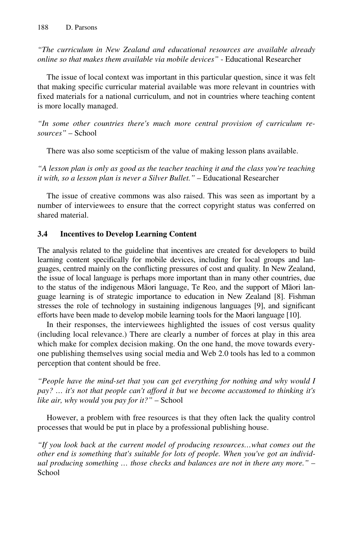*"The curriculum in New Zealand and educational resources are available already online so that makes them available via mobile devices"* - Educational Researcher

The issue of local context was important in this particular question, since it was felt that making specific curricular material available was more relevant in countries with fixed materials for a national curriculum, and not in countries where teaching content is more locally managed.

*"In some other countries there's much more central provision of curriculum resources"* – School

There was also some scepticism of the value of making lesson plans available.

*"A lesson plan is only as good as the teacher teaching it and the class you're teaching it with, so a lesson plan is never a Silver Bullet."* – Educational Researcher

The issue of creative commons was also raised. This was seen as important by a number of interviewees to ensure that the correct copyright status was conferred on shared material.

#### **3.4 Incentives to Develop Learning Content**

The analysis related to the guideline that incentives are created for developers to build learning content specifically for mobile devices, including for local groups and languages, centred mainly on the conflicting pressures of cost and quality. In New Zealand, the issue of local language is perhaps more important than in many other countries, due to the status of the indigenous Māori language, Te Reo, and the support of Māori language learning is of strategic importance to education in New Zealand [8]. Fishman stresses the role of technology in sustaining indigenous languages [9], and significant efforts have been made to develop mobile learning tools for the Maori language [10].

In their responses, the interviewees highlighted the issues of cost versus quality (including local relevance.) There are clearly a number of forces at play in this area which make for complex decision making. On the one hand, the move towards everyone publishing themselves using social media and Web 2.0 tools has led to a common perception that content should be free.

*"People have the mind-set that you can get everything for nothing and why would I pay? … it's not that people can't afford it but we become accustomed to thinking it's like air, why would you pay for it?"* – School

However, a problem with free resources is that they often lack the quality control processes that would be put in place by a professional publishing house.

*"If you look back at the current model of producing resources…what comes out the other end is something that's suitable for lots of people. When you've got an individual producing something … those checks and balances are not in there any more."* – School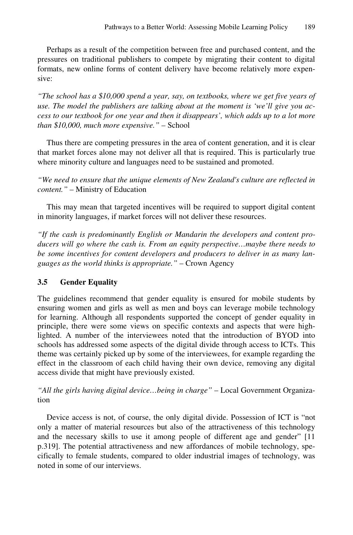Perhaps as a result of the competition between free and purchased content, and the pressures on traditional publishers to compete by migrating their content to digital formats, new online forms of content delivery have become relatively more expensive:

*"The school has a \$10,000 spend a year, say, on textbooks, where we get five years of use. The model the publishers are talking about at the moment is 'we'll give you access to our textbook for one year and then it disappears', which adds up to a lot more than \$10,000, much more expensive."* – School

Thus there are competing pressures in the area of content generation, and it is clear that market forces alone may not deliver all that is required. This is particularly true where minority culture and languages need to be sustained and promoted.

*"We need to ensure that the unique elements of New Zealand's culture are reflected in content."* – Ministry of Education

This may mean that targeted incentives will be required to support digital content in minority languages, if market forces will not deliver these resources.

*"If the cash is predominantly English or Mandarin the developers and content producers will go where the cash is. From an equity perspective…maybe there needs to be some incentives for content developers and producers to deliver in as many languages as the world thinks is appropriate."* – Crown Agency

#### **3.5 Gender Equality**

The guidelines recommend that gender equality is ensured for mobile students by ensuring women and girls as well as men and boys can leverage mobile technology for learning. Although all respondents supported the concept of gender equality in principle, there were some views on specific contexts and aspects that were highlighted. A number of the interviewees noted that the introduction of BYOD into schools has addressed some aspects of the digital divide through access to ICTs. This theme was certainly picked up by some of the interviewees, for example regarding the effect in the classroom of each child having their own device, removing any digital access divide that might have previously existed.

*"All the girls having digital device…being in charge"* – Local Government Organization

Device access is not, of course, the only digital divide. Possession of ICT is "not only a matter of material resources but also of the attractiveness of this technology and the necessary skills to use it among people of different age and gender" [11 p.319]. The potential attractiveness and new affordances of mobile technology, specifically to female students, compared to older industrial images of technology, was noted in some of our interviews.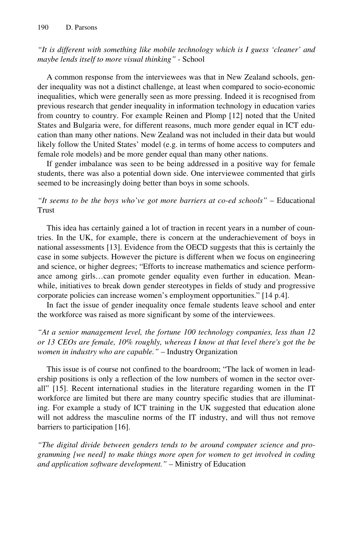*"It is different with something like mobile technology which is I guess 'cleaner' and maybe lends itself to more visual thinking"* - School

A common response from the interviewees was that in New Zealand schools, gender inequality was not a distinct challenge, at least when compared to socio-economic inequalities, which were generally seen as more pressing. Indeed it is recognised from previous research that gender inequality in information technology in education varies from country to country. For example Reinen and Plomp [12] noted that the United States and Bulgaria were, for different reasons, much more gender equal in ICT education than many other nations. New Zealand was not included in their data but would likely follow the United States' model (e.g. in terms of home access to computers and female role models) and be more gender equal than many other nations.

If gender imbalance was seen to be being addressed in a positive way for female students, there was also a potential down side. One interviewee commented that girls seemed to be increasingly doing better than boys in some schools.

*"It seems to be the boys who've got more barriers at co-ed schools"* – Educational Trust

This idea has certainly gained a lot of traction in recent years in a number of countries. In the UK, for example, there is concern at the underachievement of boys in national assessments [13]. Evidence from the OECD suggests that this is certainly the case in some subjects. However the picture is different when we focus on engineering and science, or higher degrees; "Efforts to increase mathematics and science performance among girls…can promote gender equality even further in education. Meanwhile, initiatives to break down gender stereotypes in fields of study and progressive corporate policies can increase women's employment opportunities." [14 p.4].

In fact the issue of gender inequality once female students leave school and enter the workforce was raised as more significant by some of the interviewees.

#### *"At a senior management level, the fortune 100 technology companies, less than 12 or 13 CEOs are female, 10% roughly, whereas I know at that level there's got the be women in industry who are capable."* – Industry Organization

This issue is of course not confined to the boardroom; "The lack of women in leadership positions is only a reflection of the low numbers of women in the sector overall" [15]. Recent international studies in the literature regarding women in the IT workforce are limited but there are many country specific studies that are illuminating. For example a study of ICT training in the UK suggested that education alone will not address the masculine norms of the IT industry, and will thus not remove barriers to participation [16].

*"The digital divide between genders tends to be around computer science and programming [we need] to make things more open for women to get involved in coding and application software development."* – Ministry of Education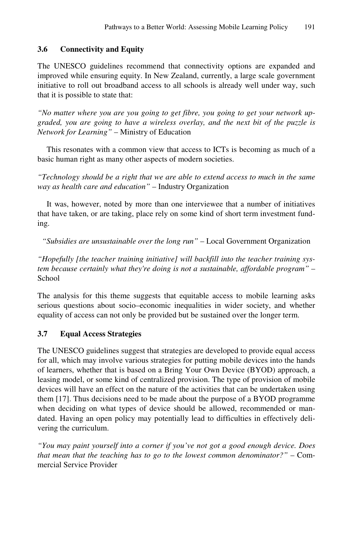#### **3.6 Connectivity and Equity**

The UNESCO guidelines recommend that connectivity options are expanded and improved while ensuring equity. In New Zealand, currently, a large scale government initiative to roll out broadband access to all schools is already well under way, such that it is possible to state that:

*"No matter where you are you going to get fibre, you going to get your network upgraded, you are going to have a wireless overlay, and the next bit of the puzzle is Network for Learning"* – Ministry of Education

This resonates with a common view that access to ICTs is becoming as much of a basic human right as many other aspects of modern societies.

*"Technology should be a right that we are able to extend access to much in the same way as health care and education"* – Industry Organization

It was, however, noted by more than one interviewee that a number of initiatives that have taken, or are taking, place rely on some kind of short term investment funding.

*"Subsidies are unsustainable over the long run"* – Local Government Organization

*"Hopefully [the teacher training initiative] will backfill into the teacher training system because certainly what they're doing is not a sustainable, affordable program"* – School

The analysis for this theme suggests that equitable access to mobile learning asks serious questions about socio–economic inequalities in wider society, and whether equality of access can not only be provided but be sustained over the longer term.

#### **3.7 Equal Access Strategies**

The UNESCO guidelines suggest that strategies are developed to provide equal access for all, which may involve various strategies for putting mobile devices into the hands of learners, whether that is based on a Bring Your Own Device (BYOD) approach, a leasing model, or some kind of centralized provision. The type of provision of mobile devices will have an effect on the nature of the activities that can be undertaken using them [17]. Thus decisions need to be made about the purpose of a BYOD programme when deciding on what types of device should be allowed, recommended or mandated. Having an open policy may potentially lead to difficulties in effectively delivering the curriculum.

*"You may paint yourself into a corner if you've not got a good enough device. Does that mean that the teaching has to go to the lowest common denominator?"* – Commercial Service Provider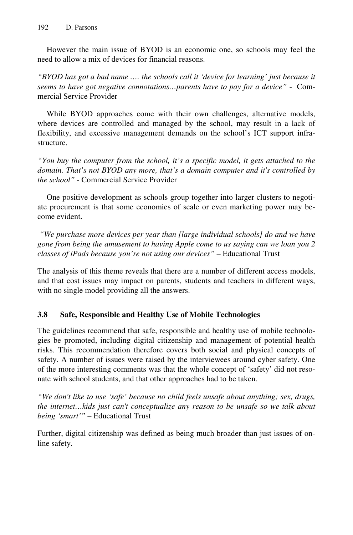However the main issue of BYOD is an economic one, so schools may feel the need to allow a mix of devices for financial reasons.

*"BYOD has got a bad name …. the schools call it 'device for learning' just because it seems to have got negative connotations…parents have to pay for a device"* - Commercial Service Provider

While BYOD approaches come with their own challenges, alternative models, where devices are controlled and managed by the school, may result in a lack of flexibility, and excessive management demands on the school's ICT support infrastructure.

*"You buy the computer from the school, it's a specific model, it gets attached to the domain. That's not BYOD any more, that's a domain computer and it's controlled by the school"* - Commercial Service Provider

One positive development as schools group together into larger clusters to negotiate procurement is that some economies of scale or even marketing power may become evident.

 *"We purchase more devices per year than [large individual schools] do and we have gone from being the amusement to having Apple come to us saying can we loan you 2 classes of iPads because you're not using our devices"* – Educational Trust

The analysis of this theme reveals that there are a number of different access models, and that cost issues may impact on parents, students and teachers in different ways, with no single model providing all the answers.

#### **3.8 Safe, Responsible and Healthy Use of Mobile Technologies**

The guidelines recommend that safe, responsible and healthy use of mobile technologies be promoted, including digital citizenship and management of potential health risks. This recommendation therefore covers both social and physical concepts of safety. A number of issues were raised by the interviewees around cyber safety. One of the more interesting comments was that the whole concept of 'safety' did not resonate with school students, and that other approaches had to be taken.

*"We don't like to use 'safe' because no child feels unsafe about anything; sex, drugs, the internet…kids just can't conceptualize any reason to be unsafe so we talk about being 'smart'"* – Educational Trust

Further, digital citizenship was defined as being much broader than just issues of online safety.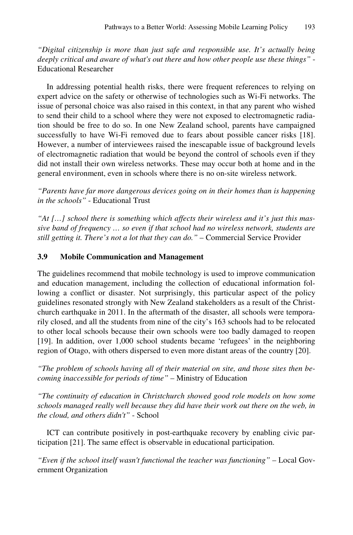*"Digital citizenship is more than just safe and responsible use. It's actually being deeply critical and aware of what's out there and how other people use these things"* - Educational Researcher

In addressing potential health risks, there were frequent references to relying on expert advice on the safety or otherwise of technologies such as Wi-Fi networks. The issue of personal choice was also raised in this context, in that any parent who wished to send their child to a school where they were not exposed to electromagnetic radiation should be free to do so. In one New Zealand school, parents have campaigned successfully to have Wi-Fi removed due to fears about possible cancer risks [18]. However, a number of interviewees raised the inescapable issue of background levels of electromagnetic radiation that would be beyond the control of schools even if they did not install their own wireless networks. These may occur both at home and in the general environment, even in schools where there is no on-site wireless network.

*"Parents have far more dangerous devices going on in their homes than is happening in the schools"* - Educational Trust

*"At […] school there is something which affects their wireless and it's just this massive band of frequency … so even if that school had no wireless network, students are still getting it. There's not a lot that they can do."* – Commercial Service Provider

#### **3.9 Mobile Communication and Management**

The guidelines recommend that mobile technology is used to improve communication and education management, including the collection of educational information following a conflict or disaster. Not surprisingly, this particular aspect of the policy guidelines resonated strongly with New Zealand stakeholders as a result of the Christchurch earthquake in 2011. In the aftermath of the disaster, all schools were temporarily closed, and all the students from nine of the city's 163 schools had to be relocated to other local schools because their own schools were too badly damaged to reopen [19]. In addition, over 1,000 school students became 'refugees' in the neighboring region of Otago, with others dispersed to even more distant areas of the country [20].

*"The problem of schools having all of their material on site, and those sites then becoming inaccessible for periods of time"* – Ministry of Education

*"The continuity of education in Christchurch showed good role models on how some schools managed really well because they did have their work out there on the web, in the cloud, and others didn't"* - School

ICT can contribute positively in post-earthquake recovery by enabling civic participation [21]. The same effect is observable in educational participation.

*"Even if the school itself wasn't functional the teacher was functioning"* – Local Government Organization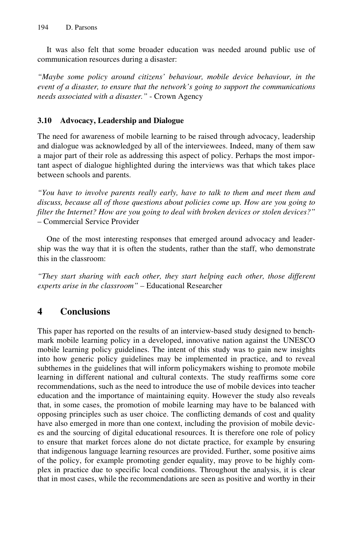It was also felt that some broader education was needed around public use of communication resources during a disaster:

*"Maybe some policy around citizens' behaviour, mobile device behaviour, in the event of a disaster, to ensure that the network's going to support the communications needs associated with a disaster."* - Crown Agency

#### **3.10 Advocacy, Leadership and Dialogue**

The need for awareness of mobile learning to be raised through advocacy, leadership and dialogue was acknowledged by all of the interviewees. Indeed, many of them saw a major part of their role as addressing this aspect of policy. Perhaps the most important aspect of dialogue highlighted during the interviews was that which takes place between schools and parents.

*"You have to involve parents really early, have to talk to them and meet them and discuss, because all of those questions about policies come up. How are you going to filter the Internet? How are you going to deal with broken devices or stolen devices?"*  – Commercial Service Provider

One of the most interesting responses that emerged around advocacy and leadership was the way that it is often the students, rather than the staff, who demonstrate this in the classroom:

*"They start sharing with each other, they start helping each other, those different experts arise in the classroom" –* Educational Researcher

# **4 Conclusions**

This paper has reported on the results of an interview-based study designed to benchmark mobile learning policy in a developed, innovative nation against the UNESCO mobile learning policy guidelines. The intent of this study was to gain new insights into how generic policy guidelines may be implemented in practice, and to reveal subthemes in the guidelines that will inform policymakers wishing to promote mobile learning in different national and cultural contexts. The study reaffirms some core recommendations, such as the need to introduce the use of mobile devices into teacher education and the importance of maintaining equity. However the study also reveals that, in some cases, the promotion of mobile learning may have to be balanced with opposing principles such as user choice. The conflicting demands of cost and quality have also emerged in more than one context, including the provision of mobile devices and the sourcing of digital educational resources. It is therefore one role of policy to ensure that market forces alone do not dictate practice, for example by ensuring that indigenous language learning resources are provided. Further, some positive aims of the policy, for example promoting gender equality, may prove to be highly complex in practice due to specific local conditions. Throughout the analysis, it is clear that in most cases, while the recommendations are seen as positive and worthy in their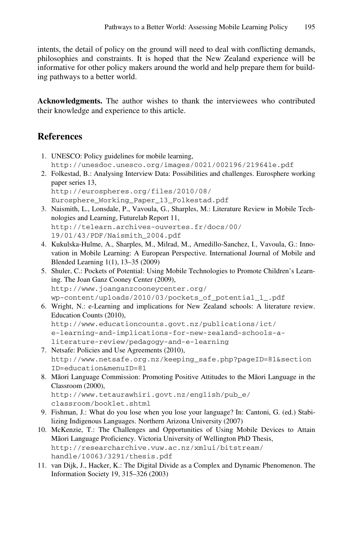intents, the detail of policy on the ground will need to deal with conflicting demands, philosophies and constraints. It is hoped that the New Zealand experience will be informative for other policy makers around the world and help prepare them for building pathways to a better world.

**Acknowledgments.** The author wishes to thank the interviewees who contributed their knowledge and experience to this article.

## **References**

- 1. UNESCO: Policy guidelines for mobile learning, http://unesdoc.unesco.org/images/0021/002196/219641e.pdf
- 2. Folkestad, B.: Analysing Interview Data: Possibilities and challenges. Eurosphere working paper series 13, http://eurospheres.org/files/2010/08/

Eurosphere\_Working\_Paper\_13\_Folkestad.pdf

- 3. Naismith, L., Lonsdale, P., Vavoula, G., Sharples, M.: Literature Review in Mobile Technologies and Learning, Futurelab Report 11, http://telearn.archives-ouvertes.fr/docs/00/ 19/01/43/PDF/Naismith\_2004.pdf
- 4. Kukulska-Hulme, A., Sharples, M., Milrad, M., Arnedillo-Sanchez, I., Vavoula, G.: Innovation in Mobile Learning: A European Perspective. International Journal of Mobile and Blended Learning 1(1), 13–35 (2009)
- 5. Shuler, C.: Pockets of Potential: Using Mobile Technologies to Promote Children's Learning. The Joan Ganz Cooney Center (2009), http://www.joanganzcooneycenter.org/ wp-content/uploads/2010/03/pockets\_of\_potential\_1\_.pdf
- 6. Wright, N.: e-Learning and implications for New Zealand schools: A literature review. Education Counts (2010),

```
http://www.educationcounts.govt.nz/publications/ict/ 
e-learning-and-implications-for-new-zealand-schools-a-
literature-review/pedagogy-and-e-learning
```
- 7. Netsafe: Policies and Use Agreements (2010), http://www.netsafe.org.nz/keeping\_safe.php?pageID=81&section ID=education&menuID=81
- 8. Māori Language Commission: Promoting Positive Attitudes to the Māori Language in the Classroom (2000),

http://www.tetaurawhiri.govt.nz/english/pub\_e/ classroom/booklet.shtml

- 9. Fishman, J.: What do you lose when you lose your language? In: Cantoni, G. (ed.) Stabilizing Indigenous Languages. Northern Arizona University (2007)
- 10. McKenzie, T.: The Challenges and Opportunities of Using Mobile Devices to Attain Māori Language Proficiency. Victoria University of Wellington PhD Thesis, http://researcharchive.vuw.ac.nz/xmlui/bitstream/ handle/10063/3291/thesis.pdf
- 11. van Dijk, J., Hacker, K.: The Digital Divide as a Complex and Dynamic Phenomenon. The Information Society 19, 315–326 (2003)